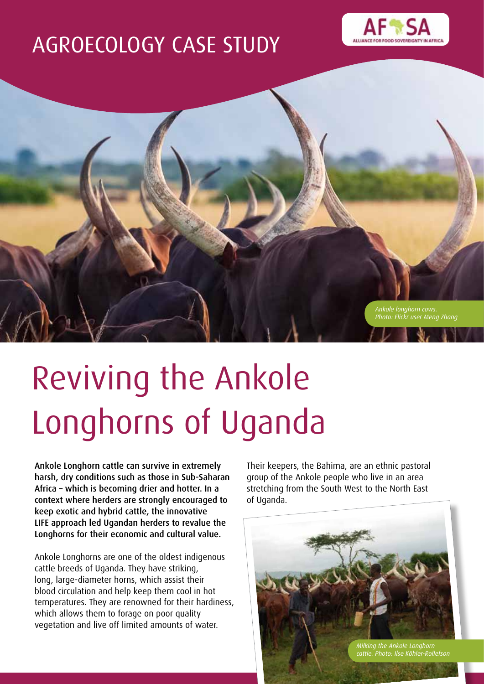## AGROECOLOGY CASE STUDY





# Reviving the Ankole Longhorns of Uganda

Ankole Longhorn cattle can survive in extremely harsh, dry conditions such as those in Sub-Saharan Africa – which is becoming drier and hotter. In a context where herders are strongly encouraged to keep exotic and hybrid cattle, the innovative LIFE approach led Ugandan herders to revalue the Longhorns for their economic and cultural value.

Ankole Longhorns are one of the oldest indigenous cattle breeds of Uganda. They have striking, long, large-diameter horns, which assist their blood circulation and help keep them cool in hot temperatures. They are renowned for their hardiness, which allows them to forage on poor quality vegetation and live off limited amounts of water.

Their keepers, the Bahima, are an ethnic pastoral group of the Ankole people who live in an area stretching from the South West to the North East of Uganda.

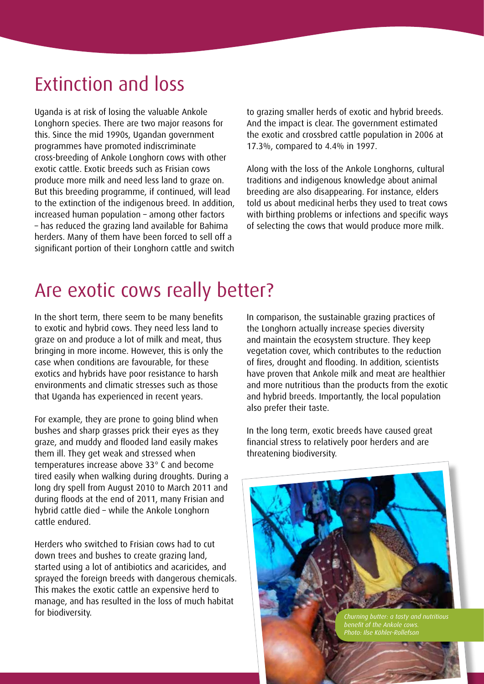## Extinction and loss

Uganda is at risk of losing the valuable Ankole Longhorn species. There are two major reasons for this. Since the mid 1990s, Ugandan government programmes have promoted indiscriminate cross-breeding of Ankole Longhorn cows with other exotic cattle. Exotic breeds such as Frisian cows produce more milk and need less land to graze on. But this breeding programme, if continued, will lead to the extinction of the indigenous breed. In addition, increased human population – among other factors – has reduced the grazing land available for Bahima herders. Many of them have been forced to sell off a significant portion of their Longhorn cattle and switch to grazing smaller herds of exotic and hybrid breeds. And the impact is clear. The government estimated the exotic and crossbred cattle population in 2006 at 17.3%, compared to 4.4% in 1997.

Along with the loss of the Ankole Longhorns, cultural traditions and indigenous knowledge about animal breeding are also disappearing. For instance, elders told us about medicinal herbs they used to treat cows with birthing problems or infections and specific ways of selecting the cows that would produce more milk.

### Are exotic cows really better?

In the short term, there seem to be many benefits to exotic and hybrid cows. They need less land to graze on and produce a lot of milk and meat, thus bringing in more income. However, this is only the case when conditions are favourable, for these exotics and hybrids have poor resistance to harsh environments and climatic stresses such as those that Uganda has experienced in recent years.

For example, they are prone to going blind when bushes and sharp grasses prick their eyes as they graze, and muddy and flooded land easily makes them ill. They get weak and stressed when temperatures increase above 33° C and become tired easily when walking during droughts. During a long dry spell from August 2010 to March 2011 and during floods at the end of 2011, many Frisian and hybrid cattle died – while the Ankole Longhorn cattle endured.

Herders who switched to Frisian cows had to cut down trees and bushes to create grazing land, started using a lot of antibiotics and acaricides, and sprayed the foreign breeds with dangerous chemicals. This makes the exotic cattle an expensive herd to manage, and has resulted in the loss of much habitat for biodiversity.

In comparison, the sustainable grazing practices of the Longhorn actually increase species diversity and maintain the ecosystem structure. They keep vegetation cover, which contributes to the reduction of fires, drought and flooding. In addition, scientists have proven that Ankole milk and meat are healthier and more nutritious than the products from the exotic and hybrid breeds. Importantly, the local population also prefer their taste.

In the long term, exotic breeds have caused great financial stress to relatively poor herders and are threatening biodiversity.

*Churning butter: a tasty and nutritious benefit of the Ankole cows. Photo: Ilse Köhler-Rollefson*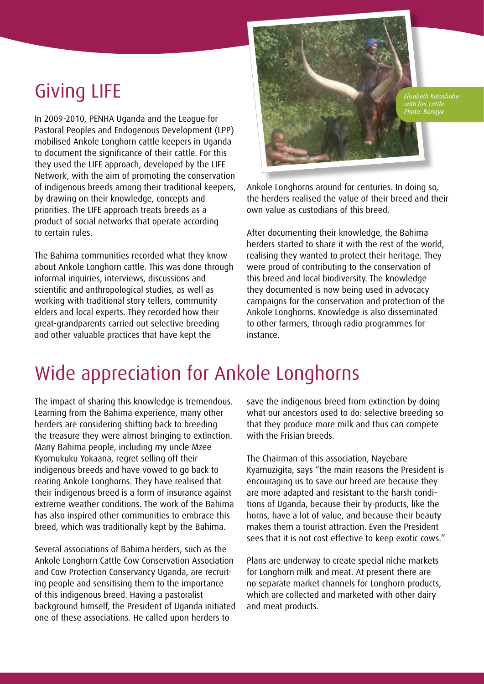In 2009-2010, PENHA Uganda and the League for Pastoral Peoples and Endogenous Development (LPP) mobilised Ankole Longhorn cattle keepers in Uganda to document the significance of their cattle. For this they used the LIFE approach, developed by the LIFE Network, with the aim of promoting the conservation of indigenous breeds among their traditional keepers, by drawing on their knowledge, concepts and priorities. The LIFE approach treats breeds as a product of social networks that operate according to certain rules.

The Bahima communities recorded what they know about Ankole Longhorn cattle. This was done through informal inquiries, interviews, discussions and scientific and anthropological studies, as well as working with traditional story tellers, community elders and local experts. They recorded how their great-grandparents carried out selective breeding and other valuable practices that have kept the



*with her cattle. Photo: Barigye*

Ankole Longhorns around for centuries. In doing so, the herders realised the value of their breed and their own value as custodians of this breed.

After documenting their knowledge, the Bahima herders started to share it with the rest of the world, realising they wanted to protect their heritage. They were proud of contributing to the conservation of this breed and local biodiversity. The knowledge they documented is now being used in advocacy campaigns for the conservation and protection of the Ankole Longhorns. Knowledge is also disseminated to other farmers, through radio programmes for instance.

### Wide appreciation for Ankole Longhorns

The impact of sharing this knowledge is tremendous. Learning from the Bahima experience, many other herders are considering shifting back to breeding the treasure they were almost bringing to extinction. Many Bahima people, including my uncle Mzee Kyomukuku Yokaana, regret selling off their indigenous breeds and have vowed to go back to rearing Ankole Longhorns. They have realised that their indigenous breed is a form of insurance against extreme weather conditions. The work of the Bahima has also inspired other communities to embrace this breed, which was traditionally kept by the Bahima.

Several associations of Bahima herders, such as the Ankole Longhorn Cattle Cow Conservation Association and Cow Protection Conservancy Uganda, are recruiting people and sensitising them to the importance of this indigenous breed. Having a pastoralist background himself, the President of Uganda initiated one of these associations. He called upon herders to

save the indigenous breed from extinction by doing what our ancestors used to do: selective breeding so that they produce more milk and thus can compete with the Frisian breeds.

The Chairman of this association, Nayebare Kyamuzigita, says "the main reasons the President is encouraging us to save our breed are because they are more adapted and resistant to the harsh conditions of Uganda, because their by-products, like the horns, have a lot of value, and because their beauty makes them a tourist attraction. Even the President sees that it is not cost effective to keep exotic cows."

Plans are underway to create special niche markets for Longhorn milk and meat. At present there are no separate market channels for Longhorn products, which are collected and marketed with other dairy and meat products.